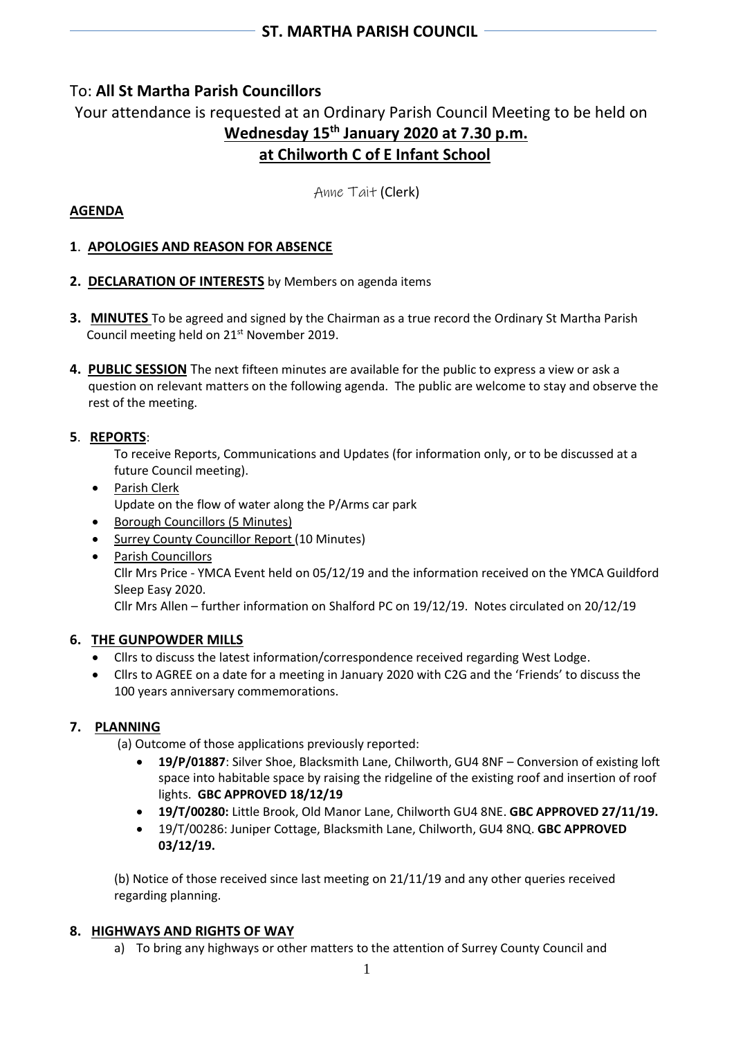# To: **All St Martha Parish Councillors**

# Your attendance is requested at an Ordinary Parish Council Meeting to be held on **Wednesday 15th January 2020 at 7.30 p.m. at Chilworth C of E Infant School**

Anne Tait (Clerk)

# **AGENDA**

## **1**. **APOLOGIES AND REASON FOR ABSENCE**

- **2. DECLARATION OF INTERESTS** by Members on agenda items
- **3. MINUTES** To be agreed and signed by the Chairman as a true record the Ordinary St Martha Parish Council meeting held on 21st November 2019.
- **4. PUBLIC SESSION** The next fifteen minutes are available for the public to express a view or ask a question on relevant matters on the following agenda. The public are welcome to stay and observe the rest of the meeting.

## **5**. **REPORTS**:

To receive Reports, Communications and Updates (for information only, or to be discussed at a future Council meeting).

- Parish Clerk Update on the flow of water along the P/Arms car park
- Borough Councillors (5 Minutes)
- Surrey County Councillor Report (10 Minutes)
- Parish Councillors Cllr Mrs Price - YMCA Event held on 05/12/19 and the information received on the YMCA Guildford Sleep Easy 2020. Cllr Mrs Allen – further information on Shalford PC on 19/12/19. Notes circulated on 20/12/19

### **6. THE GUNPOWDER MILLS**

- Cllrs to discuss the latest information/correspondence received regarding West Lodge.
- Cllrs to AGREE on a date for a meeting in January 2020 with C2G and the 'Friends' to discuss the 100 years anniversary commemorations.

### **7. PLANNING**

- (a) Outcome of those applications previously reported:
	- **19/P/01887**: Silver Shoe, Blacksmith Lane, Chilworth, GU4 8NF Conversion of existing loft space into habitable space by raising the ridgeline of the existing roof and insertion of roof lights. **GBC APPROVED 18/12/19**
	- **19/T/00280:** Little Brook, Old Manor Lane, Chilworth GU4 8NE. **GBC APPROVED 27/11/19.**
	- 19/T/00286: Juniper Cottage, Blacksmith Lane, Chilworth, GU4 8NQ. **GBC APPROVED 03/12/19.**

(b) Notice of those received since last meeting on 21/11/19 and any other queries received regarding planning.

### **8. HIGHWAYS AND RIGHTS OF WAY**

a) To bring any highways or other matters to the attention of Surrey County Council and